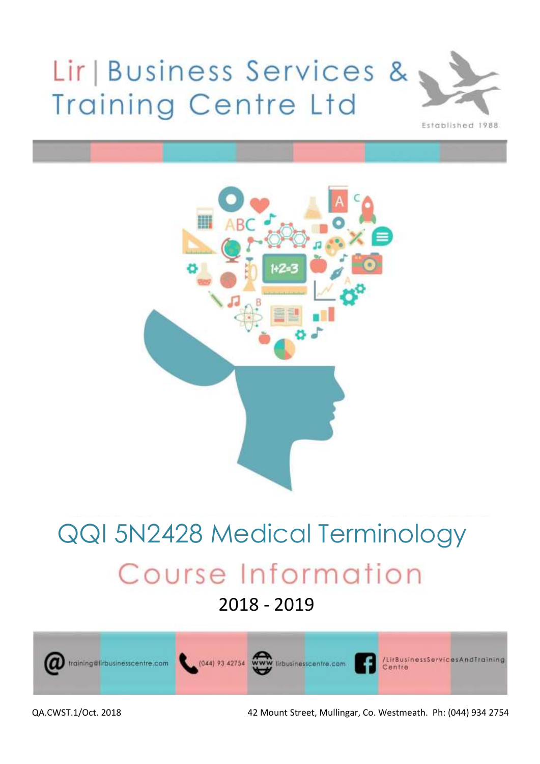# Lir | Business Services & **Training Centre Ltd**





# QQI 5N2428 Medical TerminologyCourse Information

– 2018 - 2019